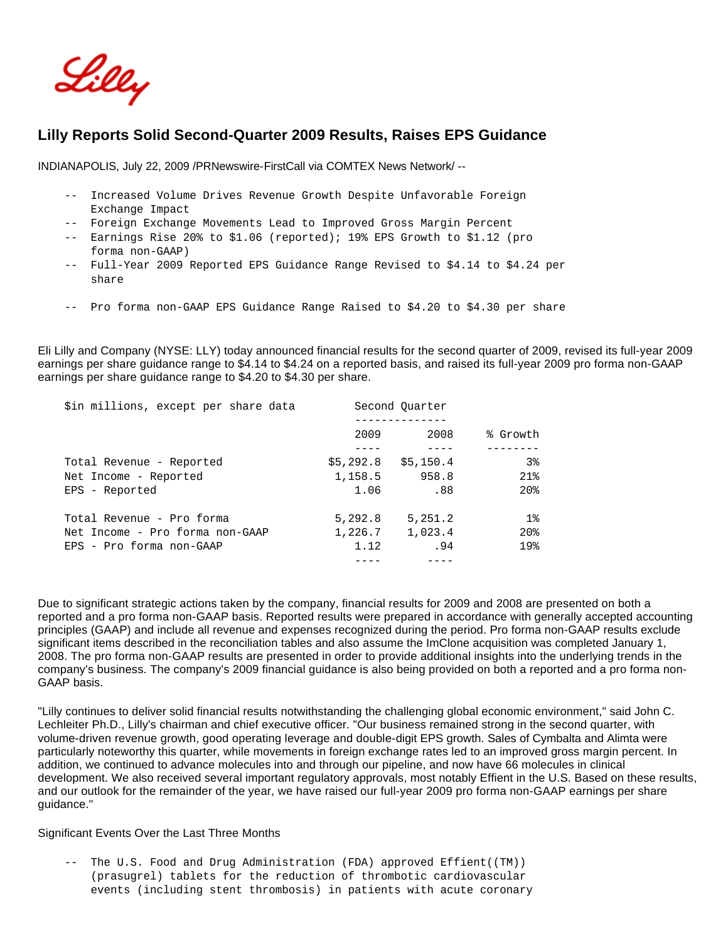

# **Lilly Reports Solid Second-Quarter 2009 Results, Raises EPS Guidance**

INDIANAPOLIS, July 22, 2009 /PRNewswire-FirstCall via COMTEX News Network/ --

- -- Increased Volume Drives Revenue Growth Despite Unfavorable Foreign Exchange Impact
- -- Foreign Exchange Movements Lead to Improved Gross Margin Percent
- -- Earnings Rise 20% to \$1.06 (reported); 19% EPS Growth to \$1.12 (pro forma non-GAAP)
- -- Full-Year 2009 Reported EPS Guidance Range Revised to \$4.14 to \$4.24 per share
- -- Pro forma non-GAAP EPS Guidance Range Raised to \$4.20 to \$4.30 per share

Eli Lilly and Company (NYSE: LLY) today announced financial results for the second quarter of 2009, revised its full-year 2009 earnings per share guidance range to \$4.14 to \$4.24 on a reported basis, and raised its full-year 2009 pro forma non-GAAP earnings per share guidance range to \$4.20 to \$4.30 per share.

| \$in millions, except per share data |           | Second Ouarter |                 |  |
|--------------------------------------|-----------|----------------|-----------------|--|
|                                      |           |                |                 |  |
|                                      | 2009      | 2008           | % Growth        |  |
|                                      |           |                |                 |  |
| Total Revenue - Reported             | \$5,292.8 | \$5.150.4      | 38              |  |
| Net Income - Reported                | 1,158.5   | 958.8          | 21%             |  |
| EPS - Reported                       | 1.06      | .88            | 20 <sub>8</sub> |  |
| Total Revenue - Pro forma            | 5,292.8   | 5, 251.2       | $1\%$           |  |
| Net Income - Pro forma non-GAAP      | 1,226.7   | 1,023.4        | 20 <sub>8</sub> |  |
| EPS - Pro forma non-GAAP             | 1.12      | .94            | 19 <sub>8</sub> |  |
|                                      |           |                |                 |  |

Due to significant strategic actions taken by the company, financial results for 2009 and 2008 are presented on both a reported and a pro forma non-GAAP basis. Reported results were prepared in accordance with generally accepted accounting principles (GAAP) and include all revenue and expenses recognized during the period. Pro forma non-GAAP results exclude significant items described in the reconciliation tables and also assume the ImClone acquisition was completed January 1, 2008. The pro forma non-GAAP results are presented in order to provide additional insights into the underlying trends in the company's business. The company's 2009 financial guidance is also being provided on both a reported and a pro forma non-GAAP basis.

"Lilly continues to deliver solid financial results notwithstanding the challenging global economic environment," said John C. Lechleiter Ph.D., Lilly's chairman and chief executive officer. "Our business remained strong in the second quarter, with volume-driven revenue growth, good operating leverage and double-digit EPS growth. Sales of Cymbalta and Alimta were particularly noteworthy this quarter, while movements in foreign exchange rates led to an improved gross margin percent. In addition, we continued to advance molecules into and through our pipeline, and now have 66 molecules in clinical development. We also received several important regulatory approvals, most notably Effient in the U.S. Based on these results, and our outlook for the remainder of the year, we have raised our full-year 2009 pro forma non-GAAP earnings per share guidance."

### Significant Events Over the Last Three Months

 -- The U.S. Food and Drug Administration (FDA) approved Effient((TM)) (prasugrel) tablets for the reduction of thrombotic cardiovascular events (including stent thrombosis) in patients with acute coronary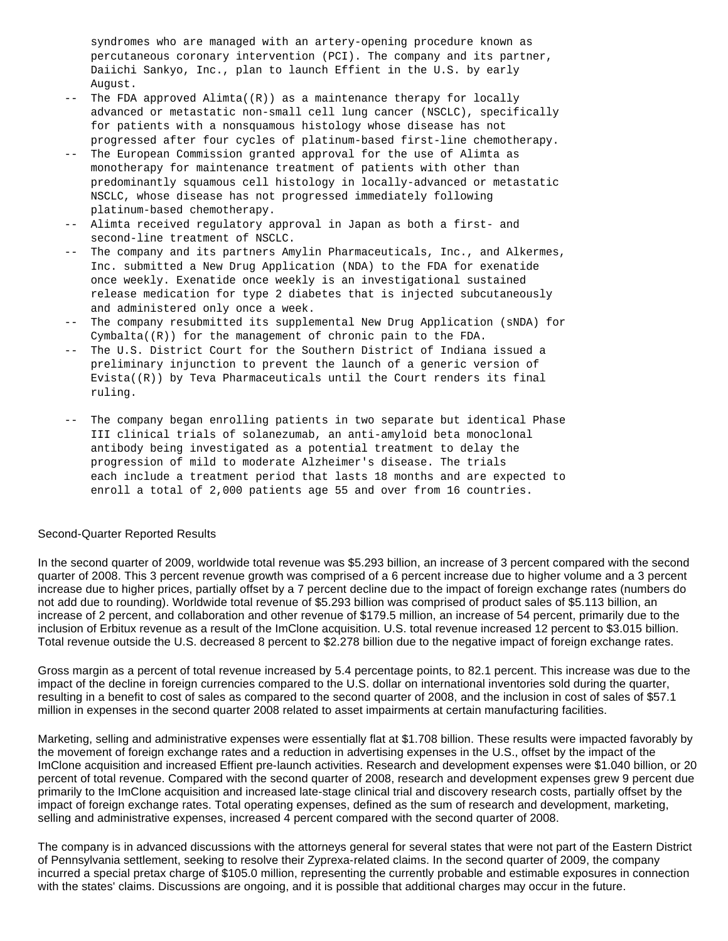syndromes who are managed with an artery-opening procedure known as percutaneous coronary intervention (PCI). The company and its partner, Daiichi Sankyo, Inc., plan to launch Effient in the U.S. by early August.

- $--$  The FDA approved Alimta( $(R)$ ) as a maintenance therapy for locally advanced or metastatic non-small cell lung cancer (NSCLC), specifically for patients with a nonsquamous histology whose disease has not progressed after four cycles of platinum-based first-line chemotherapy.
- -- The European Commission granted approval for the use of Alimta as monotherapy for maintenance treatment of patients with other than predominantly squamous cell histology in locally-advanced or metastatic NSCLC, whose disease has not progressed immediately following platinum-based chemotherapy.
- -- Alimta received regulatory approval in Japan as both a first- and second-line treatment of NSCLC.
- -- The company and its partners Amylin Pharmaceuticals, Inc., and Alkermes, Inc. submitted a New Drug Application (NDA) to the FDA for exenatide once weekly. Exenatide once weekly is an investigational sustained release medication for type 2 diabetes that is injected subcutaneously and administered only once a week.
- -- The company resubmitted its supplemental New Drug Application (sNDA) for Cymbalta((R)) for the management of chronic pain to the FDA.
- -- The U.S. District Court for the Southern District of Indiana issued a preliminary injunction to prevent the launch of a generic version of Evista $((R))$  by Teva Pharmaceuticals until the Court renders its final ruling.
- -- The company began enrolling patients in two separate but identical Phase III clinical trials of solanezumab, an anti-amyloid beta monoclonal antibody being investigated as a potential treatment to delay the progression of mild to moderate Alzheimer's disease. The trials each include a treatment period that lasts 18 months and are expected to enroll a total of 2,000 patients age 55 and over from 16 countries.

### Second-Quarter Reported Results

In the second quarter of 2009, worldwide total revenue was \$5.293 billion, an increase of 3 percent compared with the second quarter of 2008. This 3 percent revenue growth was comprised of a 6 percent increase due to higher volume and a 3 percent increase due to higher prices, partially offset by a 7 percent decline due to the impact of foreign exchange rates (numbers do not add due to rounding). Worldwide total revenue of \$5.293 billion was comprised of product sales of \$5.113 billion, an increase of 2 percent, and collaboration and other revenue of \$179.5 million, an increase of 54 percent, primarily due to the inclusion of Erbitux revenue as a result of the ImClone acquisition. U.S. total revenue increased 12 percent to \$3.015 billion. Total revenue outside the U.S. decreased 8 percent to \$2.278 billion due to the negative impact of foreign exchange rates.

Gross margin as a percent of total revenue increased by 5.4 percentage points, to 82.1 percent. This increase was due to the impact of the decline in foreign currencies compared to the U.S. dollar on international inventories sold during the quarter, resulting in a benefit to cost of sales as compared to the second quarter of 2008, and the inclusion in cost of sales of \$57.1 million in expenses in the second quarter 2008 related to asset impairments at certain manufacturing facilities.

Marketing, selling and administrative expenses were essentially flat at \$1.708 billion. These results were impacted favorably by the movement of foreign exchange rates and a reduction in advertising expenses in the U.S., offset by the impact of the ImClone acquisition and increased Effient pre-launch activities. Research and development expenses were \$1.040 billion, or 20 percent of total revenue. Compared with the second quarter of 2008, research and development expenses grew 9 percent due primarily to the ImClone acquisition and increased late-stage clinical trial and discovery research costs, partially offset by the impact of foreign exchange rates. Total operating expenses, defined as the sum of research and development, marketing, selling and administrative expenses, increased 4 percent compared with the second quarter of 2008.

The company is in advanced discussions with the attorneys general for several states that were not part of the Eastern District of Pennsylvania settlement, seeking to resolve their Zyprexa-related claims. In the second quarter of 2009, the company incurred a special pretax charge of \$105.0 million, representing the currently probable and estimable exposures in connection with the states' claims. Discussions are ongoing, and it is possible that additional charges may occur in the future.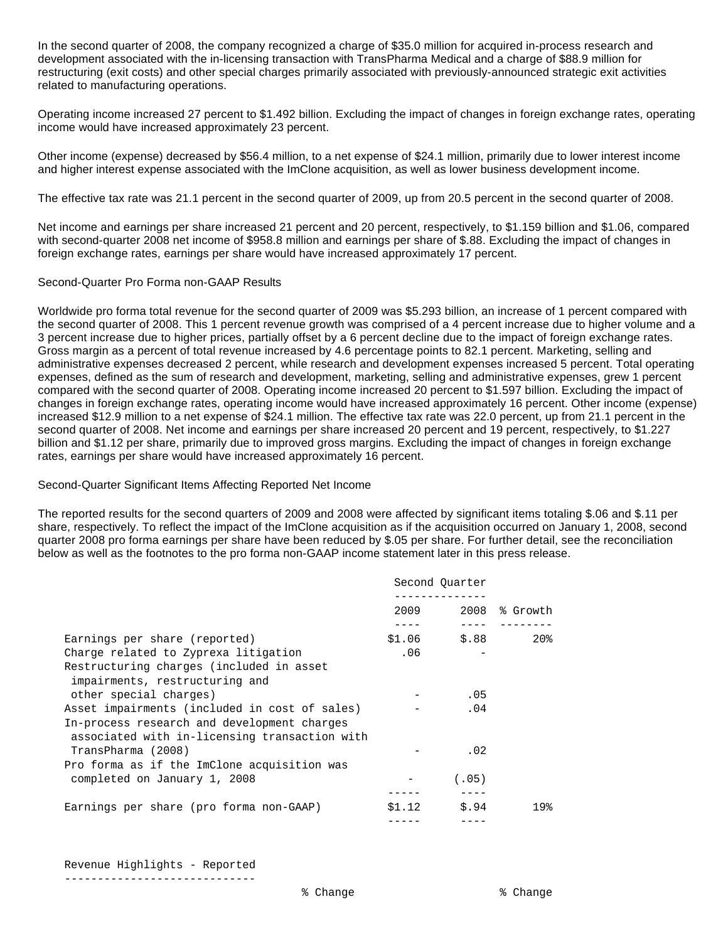In the second quarter of 2008, the company recognized a charge of \$35.0 million for acquired in-process research and development associated with the in-licensing transaction with TransPharma Medical and a charge of \$88.9 million for restructuring (exit costs) and other special charges primarily associated with previously-announced strategic exit activities related to manufacturing operations.

Operating income increased 27 percent to \$1.492 billion. Excluding the impact of changes in foreign exchange rates, operating income would have increased approximately 23 percent.

Other income (expense) decreased by \$56.4 million, to a net expense of \$24.1 million, primarily due to lower interest income and higher interest expense associated with the ImClone acquisition, as well as lower business development income.

The effective tax rate was 21.1 percent in the second quarter of 2009, up from 20.5 percent in the second quarter of 2008.

Net income and earnings per share increased 21 percent and 20 percent, respectively, to \$1.159 billion and \$1.06, compared with second-quarter 2008 net income of \$958.8 million and earnings per share of \$.88. Excluding the impact of changes in foreign exchange rates, earnings per share would have increased approximately 17 percent.

## Second-Quarter Pro Forma non-GAAP Results

Worldwide pro forma total revenue for the second quarter of 2009 was \$5.293 billion, an increase of 1 percent compared with the second quarter of 2008. This 1 percent revenue growth was comprised of a 4 percent increase due to higher volume and a 3 percent increase due to higher prices, partially offset by a 6 percent decline due to the impact of foreign exchange rates. Gross margin as a percent of total revenue increased by 4.6 percentage points to 82.1 percent. Marketing, selling and administrative expenses decreased 2 percent, while research and development expenses increased 5 percent. Total operating expenses, defined as the sum of research and development, marketing, selling and administrative expenses, grew 1 percent compared with the second quarter of 2008. Operating income increased 20 percent to \$1.597 billion. Excluding the impact of changes in foreign exchange rates, operating income would have increased approximately 16 percent. Other income (expense) increased \$12.9 million to a net expense of \$24.1 million. The effective tax rate was 22.0 percent, up from 21.1 percent in the second quarter of 2008. Net income and earnings per share increased 20 percent and 19 percent, respectively, to \$1.227 billion and \$1.12 per share, primarily due to improved gross margins. Excluding the impact of changes in foreign exchange rates, earnings per share would have increased approximately 16 percent.

### Second-Quarter Significant Items Affecting Reported Net Income

The reported results for the second quarters of 2009 and 2008 were affected by significant items totaling \$.06 and \$.11 per share, respectively. To reflect the impact of the ImClone acquisition as if the acquisition occurred on January 1, 2008, second quarter 2008 pro forma earnings per share have been reduced by \$.05 per share. For further detail, see the reconciliation below as well as the footnotes to the pro forma non-GAAP income statement later in this press release.

|                                                                                                                                               |        | Second Ouarter |                 |
|-----------------------------------------------------------------------------------------------------------------------------------------------|--------|----------------|-----------------|
|                                                                                                                                               | 2009   |                | $2008$ % Growth |
| Earnings per share (reported)                                                                                                                 |        | $$1.06$ $$.88$ | $20\%$          |
| Charge related to Zyprexa litigation                                                                                                          | .06    |                |                 |
| Restructuring charges (included in asset<br>impairments, restructuring and                                                                    |        |                |                 |
| other special charges)                                                                                                                        |        | .05            |                 |
| Asset impairments (included in cost of sales)<br>In-process research and development charges<br>associated with in-licensing transaction with |        | .04            |                 |
| TransPharma (2008)                                                                                                                            |        | .02            |                 |
| Pro forma as if the ImClone acquisition was                                                                                                   |        |                |                 |
| completed on January 1, 2008                                                                                                                  |        | (.05)          |                 |
| Earnings per share (pro forma non-GAAP)                                                                                                       | \$1.12 | \$.94          | 19%             |
|                                                                                                                                               |        |                |                 |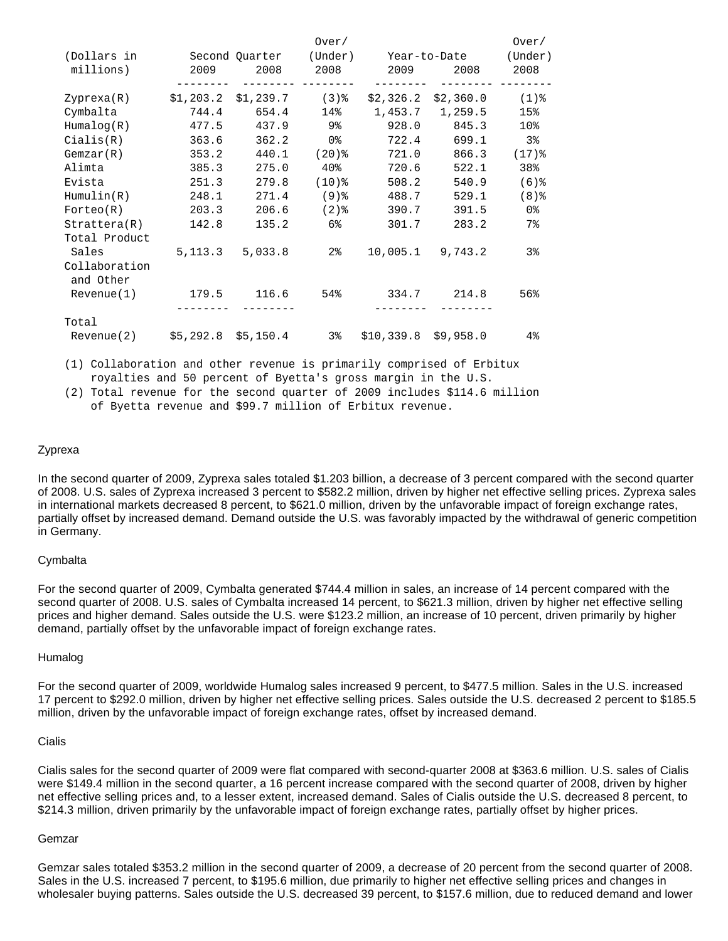|                                |                            |                        | Over/               |                       |                       | Over/           |
|--------------------------------|----------------------------|------------------------|---------------------|-----------------------|-----------------------|-----------------|
| (Dollars in                    |                            | Second Quarter (Under) |                     |                       | Year-to-Date          | (Under)         |
| millions)                      | 2009                       | 2008                   | 2008                | 2009                  | 2008                  | 2008            |
| Zyprexa(R)                     | $$1,203.2$ $$1,239.7$ (3)% |                        |                     |                       | $$2,326.2$ $$2,360.0$ | $(1)$ %         |
| Cymbalta                       | 744.4                      | 654.4                  | 14%                 |                       | 1,453.7 1,259.5       | 15%             |
| Humaloq(R)                     |                            | 477.5 437.9 9%         |                     | 928.0                 | 845.3                 | 10 <sup>8</sup> |
| Cialis(R)                      | 363.6                      | 362.2                  | 0 %                 | 722.4                 | 699.1                 | 3%              |
| Gemzar(R)                      | 353.2                      | 440.1                  | $(20)$ $\,^{\circ}$ | 721.0                 | 866.3                 | $(17)$ $%$      |
| Alimta                         | 385.3                      | 275.0                  | 40%                 | 720.6                 | 522.1                 | 38%             |
| Evista                         | 251.3                      | 279.8                  | $(10)$ %            | 508.2                 | 540.9                 | $(6)$ $%$       |
| Hummullin(R)                   | 248.1                      | 271.4                  | ( 9 ) %             | 488.7                 | 529.1                 | $(8)$ $%$       |
| Forteo(R)                      | 203.3                      | 206.6                  | (2) %               | 390.7                 | 391.5                 | 0 %             |
| Strattera(R)                   | 142.8                      | 135.2                  | 6%                  | 301.7                 | 283.2                 | $7\,$           |
| Total Product                  |                            |                        |                     |                       |                       |                 |
| Sales                          |                            | 5, 113.3 5, 033.8      | 2 <sup>8</sup>      |                       | $10,005.1$ 9,743.2    | $3\,$           |
| Collaboration<br>and Other     |                            |                        |                     |                       |                       |                 |
| Revenue(1)                     | 179.5                      |                        | $116.6$ 54%         | 334.7                 | 214.8                 | 56%             |
| Total                          |                            |                        |                     |                       |                       |                 |
| Revenue(2) \$5,292.8 \$5,150.4 |                            |                        | 3%                  | $$10,339.8$ \$9,958.0 |                       | $4\%$           |

 (1) Collaboration and other revenue is primarily comprised of Erbitux royalties and 50 percent of Byetta's gross margin in the U.S.

 (2) Total revenue for the second quarter of 2009 includes \$114.6 million of Byetta revenue and \$99.7 million of Erbitux revenue.

## Zyprexa

In the second quarter of 2009, Zyprexa sales totaled \$1.203 billion, a decrease of 3 percent compared with the second quarter of 2008. U.S. sales of Zyprexa increased 3 percent to \$582.2 million, driven by higher net effective selling prices. Zyprexa sales in international markets decreased 8 percent, to \$621.0 million, driven by the unfavorable impact of foreign exchange rates, partially offset by increased demand. Demand outside the U.S. was favorably impacted by the withdrawal of generic competition in Germany.

### **Cymbalta**

For the second quarter of 2009, Cymbalta generated \$744.4 million in sales, an increase of 14 percent compared with the second quarter of 2008. U.S. sales of Cymbalta increased 14 percent, to \$621.3 million, driven by higher net effective selling prices and higher demand. Sales outside the U.S. were \$123.2 million, an increase of 10 percent, driven primarily by higher demand, partially offset by the unfavorable impact of foreign exchange rates.

#### Humalog

For the second quarter of 2009, worldwide Humalog sales increased 9 percent, to \$477.5 million. Sales in the U.S. increased 17 percent to \$292.0 million, driven by higher net effective selling prices. Sales outside the U.S. decreased 2 percent to \$185.5 million, driven by the unfavorable impact of foreign exchange rates, offset by increased demand.

## Cialis

Cialis sales for the second quarter of 2009 were flat compared with second-quarter 2008 at \$363.6 million. U.S. sales of Cialis were \$149.4 million in the second quarter, a 16 percent increase compared with the second quarter of 2008, driven by higher net effective selling prices and, to a lesser extent, increased demand. Sales of Cialis outside the U.S. decreased 8 percent, to \$214.3 million, driven primarily by the unfavorable impact of foreign exchange rates, partially offset by higher prices.

### Gemzar

Gemzar sales totaled \$353.2 million in the second quarter of 2009, a decrease of 20 percent from the second quarter of 2008. Sales in the U.S. increased 7 percent, to \$195.6 million, due primarily to higher net effective selling prices and changes in wholesaler buying patterns. Sales outside the U.S. decreased 39 percent, to \$157.6 million, due to reduced demand and lower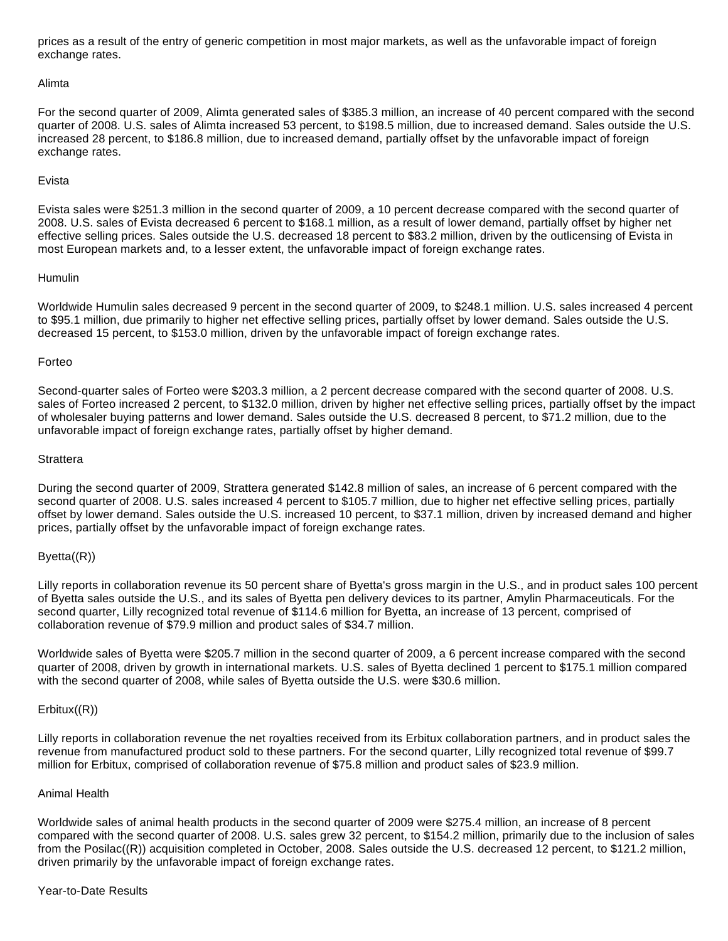prices as a result of the entry of generic competition in most major markets, as well as the unfavorable impact of foreign exchange rates.

### Alimta

For the second quarter of 2009, Alimta generated sales of \$385.3 million, an increase of 40 percent compared with the second quarter of 2008. U.S. sales of Alimta increased 53 percent, to \$198.5 million, due to increased demand. Sales outside the U.S. increased 28 percent, to \$186.8 million, due to increased demand, partially offset by the unfavorable impact of foreign exchange rates.

## Evista

Evista sales were \$251.3 million in the second quarter of 2009, a 10 percent decrease compared with the second quarter of 2008. U.S. sales of Evista decreased 6 percent to \$168.1 million, as a result of lower demand, partially offset by higher net effective selling prices. Sales outside the U.S. decreased 18 percent to \$83.2 million, driven by the outlicensing of Evista in most European markets and, to a lesser extent, the unfavorable impact of foreign exchange rates.

## Humulin

Worldwide Humulin sales decreased 9 percent in the second quarter of 2009, to \$248.1 million. U.S. sales increased 4 percent to \$95.1 million, due primarily to higher net effective selling prices, partially offset by lower demand. Sales outside the U.S. decreased 15 percent, to \$153.0 million, driven by the unfavorable impact of foreign exchange rates.

## Forteo

Second-quarter sales of Forteo were \$203.3 million, a 2 percent decrease compared with the second quarter of 2008. U.S. sales of Forteo increased 2 percent, to \$132.0 million, driven by higher net effective selling prices, partially offset by the impact of wholesaler buying patterns and lower demand. Sales outside the U.S. decreased 8 percent, to \$71.2 million, due to the unfavorable impact of foreign exchange rates, partially offset by higher demand.

## **Strattera**

During the second quarter of 2009, Strattera generated \$142.8 million of sales, an increase of 6 percent compared with the second quarter of 2008. U.S. sales increased 4 percent to \$105.7 million, due to higher net effective selling prices, partially offset by lower demand. Sales outside the U.S. increased 10 percent, to \$37.1 million, driven by increased demand and higher prices, partially offset by the unfavorable impact of foreign exchange rates.

## Byetta((R))

Lilly reports in collaboration revenue its 50 percent share of Byetta's gross margin in the U.S., and in product sales 100 percent of Byetta sales outside the U.S., and its sales of Byetta pen delivery devices to its partner, Amylin Pharmaceuticals. For the second quarter, Lilly recognized total revenue of \$114.6 million for Byetta, an increase of 13 percent, comprised of collaboration revenue of \$79.9 million and product sales of \$34.7 million.

Worldwide sales of Byetta were \$205.7 million in the second quarter of 2009, a 6 percent increase compared with the second quarter of 2008, driven by growth in international markets. U.S. sales of Byetta declined 1 percent to \$175.1 million compared with the second quarter of 2008, while sales of Byetta outside the U.S. were \$30.6 million.

## Erbitux((R))

Lilly reports in collaboration revenue the net royalties received from its Erbitux collaboration partners, and in product sales the revenue from manufactured product sold to these partners. For the second quarter, Lilly recognized total revenue of \$99.7 million for Erbitux, comprised of collaboration revenue of \$75.8 million and product sales of \$23.9 million.

### Animal Health

Worldwide sales of animal health products in the second quarter of 2009 were \$275.4 million, an increase of 8 percent compared with the second quarter of 2008. U.S. sales grew 32 percent, to \$154.2 million, primarily due to the inclusion of sales from the Posilac((R)) acquisition completed in October, 2008. Sales outside the U.S. decreased 12 percent, to \$121.2 million, driven primarily by the unfavorable impact of foreign exchange rates.

## Year-to-Date Results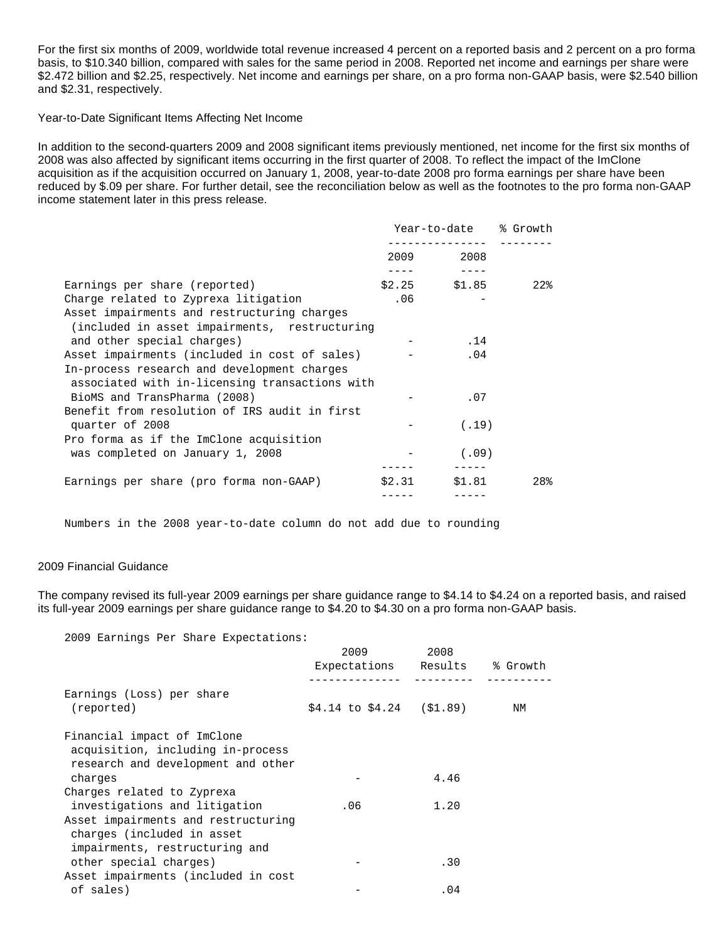For the first six months of 2009, worldwide total revenue increased 4 percent on a reported basis and 2 percent on a pro forma basis, to \$10.340 billion, compared with sales for the same period in 2008. Reported net income and earnings per share were \$2.472 billion and \$2.25, respectively. Net income and earnings per share, on a pro forma non-GAAP basis, were \$2.540 billion and \$2.31, respectively.

Year-to-Date Significant Items Affecting Net Income

In addition to the second-quarters 2009 and 2008 significant items previously mentioned, net income for the first six months of 2008 was also affected by significant items occurring in the first quarter of 2008. To reflect the impact of the ImClone acquisition as if the acquisition occurred on January 1, 2008, year-to-date 2008 pro forma earnings per share have been reduced by \$.09 per share. For further detail, see the reconciliation below as well as the footnotes to the pro forma non-GAAP income statement later in this press release.

|                                                |        | Year-to-date % Growth |     |  |
|------------------------------------------------|--------|-----------------------|-----|--|
|                                                |        | 2009 2008             |     |  |
| Earnings per share (reported)                  |        | $$2.25$ $$1.85$       | 22% |  |
| Charge related to Zyprexa litigation           | .06    |                       |     |  |
| Asset impairments and restructuring charges    |        |                       |     |  |
| (included in asset impairments, restructuring) |        |                       |     |  |
| and other special charges)                     |        | .14                   |     |  |
| Asset impairments (included in cost of sales)  |        | .04                   |     |  |
| In-process research and development charges    |        |                       |     |  |
| associated with in-licensing transactions with |        |                       |     |  |
| BioMS and TransPharma (2008)                   |        | .07                   |     |  |
| Benefit from resolution of IRS audit in first  |        |                       |     |  |
| quarter of 2008                                |        | (.19)                 |     |  |
| Pro forma as if the ImClone acquisition        |        |                       |     |  |
| was completed on January 1, 2008               |        | (.09)                 |     |  |
| Earnings per share (pro forma non-GAAP)        | \$2.31 | \$1.81                | 28% |  |
|                                                |        |                       |     |  |

Numbers in the 2008 year-to-date column do not add due to rounding

### 2009 Financial Guidance

The company revised its full-year 2009 earnings per share guidance range to \$4.14 to \$4.24 on a reported basis, and raised its full-year 2009 earnings per share guidance range to \$4.20 to \$4.30 on a pro forma non-GAAP basis.

2009 Earnings Per Share Expectations:

|                                                                                                        | 2009                           | 2008 |          |
|--------------------------------------------------------------------------------------------------------|--------------------------------|------|----------|
|                                                                                                        | Expectations Results           |      | % Growth |
| Earnings (Loss) per share<br>(reported)                                                                | $$4.14$ to $$4.24$ ( $$1.89$ ) |      | ΝM       |
| Financial impact of ImClone<br>acquisition, including in-process<br>research and development and other |                                |      |          |
| charges                                                                                                |                                | 4.46 |          |
| Charges related to Zyprexa                                                                             |                                |      |          |
| investigations and litigation                                                                          | .06                            | 1.20 |          |
| Asset impairments and restructuring<br>charges (included in asset<br>impairments, restructuring and    |                                |      |          |
| other special charges)                                                                                 |                                | .30  |          |
| Asset impairments (included in cost                                                                    |                                |      |          |
| of sales)                                                                                              |                                | .04  |          |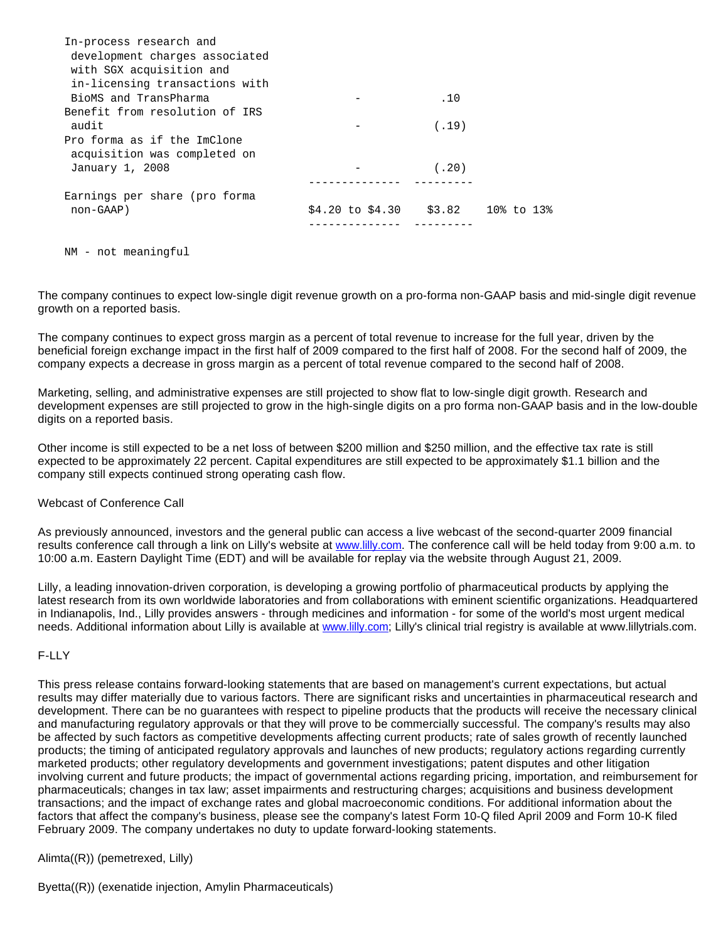| In-process research and        |                  |        |                  |  |
|--------------------------------|------------------|--------|------------------|--|
| development charges associated |                  |        |                  |  |
| with SGX acquisition and       |                  |        |                  |  |
| in-licensing transactions with |                  |        |                  |  |
| BioMS and TransPharma          |                  | .10    |                  |  |
| Benefit from resolution of IRS |                  |        |                  |  |
| audit                          |                  | (.19)  |                  |  |
| Pro forma as if the ImClone    |                  |        |                  |  |
| acquisition was completed on   |                  |        |                  |  |
| January 1, 2008                |                  | (.20)  |                  |  |
|                                |                  |        |                  |  |
| Earnings per share (pro forma  |                  |        |                  |  |
| non-GAAP)                      | \$4.20 to \$4.30 | \$3.82 | $10\%$ to $13\%$ |  |
|                                |                  |        |                  |  |

NM - not meaningful

The company continues to expect low-single digit revenue growth on a pro-forma non-GAAP basis and mid-single digit revenue growth on a reported basis.

The company continues to expect gross margin as a percent of total revenue to increase for the full year, driven by the beneficial foreign exchange impact in the first half of 2009 compared to the first half of 2008. For the second half of 2009, the company expects a decrease in gross margin as a percent of total revenue compared to the second half of 2008.

Marketing, selling, and administrative expenses are still projected to show flat to low-single digit growth. Research and development expenses are still projected to grow in the high-single digits on a pro forma non-GAAP basis and in the low-double digits on a reported basis.

Other income is still expected to be a net loss of between \$200 million and \$250 million, and the effective tax rate is still expected to be approximately 22 percent. Capital expenditures are still expected to be approximately \$1.1 billion and the company still expects continued strong operating cash flow.

Webcast of Conference Call

As previously announced, investors and the general public can access a live webcast of the second-quarter 2009 financial results conference call through a link on Lilly's website at [www.lilly.com.](http://www.lilly.com/) The conference call will be held today from 9:00 a.m. to 10:00 a.m. Eastern Daylight Time (EDT) and will be available for replay via the website through August 21, 2009.

Lilly, a leading innovation-driven corporation, is developing a growing portfolio of pharmaceutical products by applying the latest research from its own worldwide laboratories and from collaborations with eminent scientific organizations. Headquartered in Indianapolis, Ind., Lilly provides answers - through medicines and information - for some of the world's most urgent medical needs. Additional information about Lilly is available at [www.lilly.com;](http://www.lilly.com/) Lilly's clinical trial registry is available at www.lillytrials.com.

### F-LLY

This press release contains forward-looking statements that are based on management's current expectations, but actual results may differ materially due to various factors. There are significant risks and uncertainties in pharmaceutical research and development. There can be no guarantees with respect to pipeline products that the products will receive the necessary clinical and manufacturing regulatory approvals or that they will prove to be commercially successful. The company's results may also be affected by such factors as competitive developments affecting current products; rate of sales growth of recently launched products; the timing of anticipated regulatory approvals and launches of new products; regulatory actions regarding currently marketed products; other regulatory developments and government investigations; patent disputes and other litigation involving current and future products; the impact of governmental actions regarding pricing, importation, and reimbursement for pharmaceuticals; changes in tax law; asset impairments and restructuring charges; acquisitions and business development transactions; and the impact of exchange rates and global macroeconomic conditions. For additional information about the factors that affect the company's business, please see the company's latest Form 10-Q filed April 2009 and Form 10-K filed February 2009. The company undertakes no duty to update forward-looking statements.

Alimta((R)) (pemetrexed, Lilly)

Byetta((R)) (exenatide injection, Amylin Pharmaceuticals)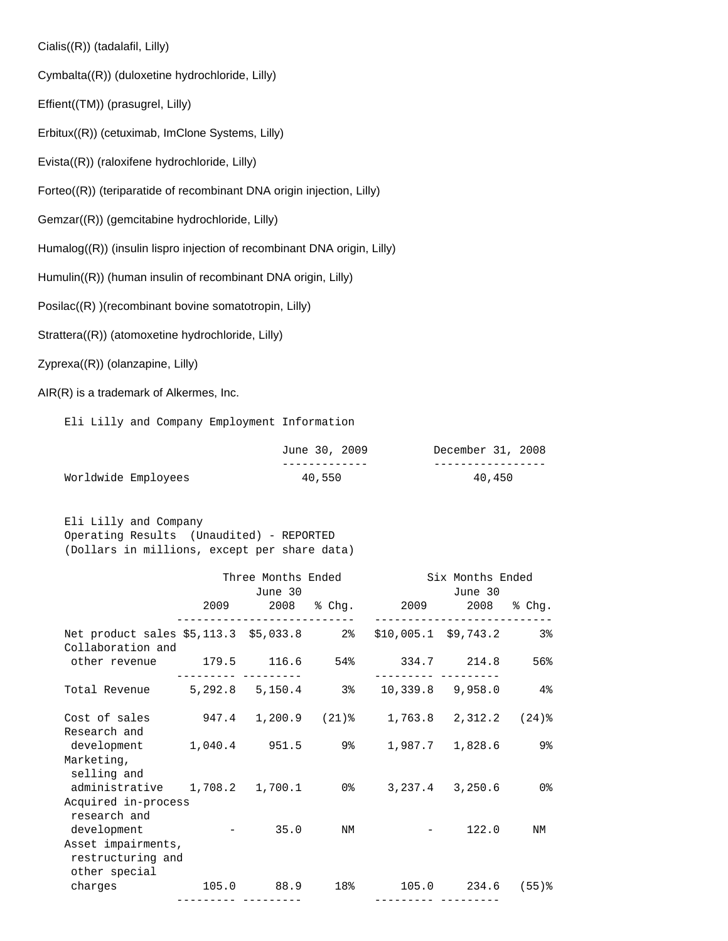Cialis((R)) (tadalafil, Lilly)

Cymbalta((R)) (duloxetine hydrochloride, Lilly)

Effient((TM)) (prasugrel, Lilly)

Erbitux((R)) (cetuximab, ImClone Systems, Lilly)

Evista((R)) (raloxifene hydrochloride, Lilly)

Forteo((R)) (teriparatide of recombinant DNA origin injection, Lilly)

Gemzar((R)) (gemcitabine hydrochloride, Lilly)

Humalog((R)) (insulin lispro injection of recombinant DNA origin, Lilly)

Humulin((R)) (human insulin of recombinant DNA origin, Lilly)

Posilac((R) )(recombinant bovine somatotropin, Lilly)

Strattera((R)) (atomoxetine hydrochloride, Lilly)

Zyprexa((R)) (olanzapine, Lilly)

AIR(R) is a trademark of Alkermes, Inc.

Eli Lilly and Company Employment Information

|                     | June 30, 2009 | December 31, 2008 |
|---------------------|---------------|-------------------|
|                     |               |                   |
| Worldwide Employees | 40,550        | 40,450            |

 Eli Lilly and Company Operating Results (Unaudited) - REPORTED (Dollars in millions, except per share data)

|                                                                                       | Three Months Ended<br>June 30 |    |                                   | Six Months Ended<br>June 30 |     |
|---------------------------------------------------------------------------------------|-------------------------------|----|-----------------------------------|-----------------------------|-----|
|                                                                                       | ----------------              |    | 2009 2008 % Chg. 2009 2008 % Chg. |                             |     |
| Net product sales \$5,113.3 \$5,033.8 2% \$10,005.1 \$9,743.2 3%<br>Collaboration and |                               |    |                                   |                             |     |
| other revenue 179.5 116.6 54% 334.7 214.8                                             |                               |    |                                   |                             | 56% |
| Total Revenue 5, 292.8 5, 150.4 3% 10, 339.8 9, 958.0 4%                              |                               |    |                                   |                             |     |
| Cost of sales 947.4 1,200.9 (21)% 1,763.8 2,312.2 (24)%<br>Research and               |                               |    |                                   |                             |     |
| development 1,040.4 951.5 9% 1,987.7 1,828.6<br>Marketing,                            |                               |    |                                   |                             | 9%  |
| selling and<br>administrative 1,708.2 1,700.1 0% 3,237.4 3,250.6 0%                   |                               |    |                                   |                             |     |
| Acquired in-process<br>research and<br>development - 35.0                             |                               | NM |                                   | 122.0                       | ΝM  |
| Asset impairments,<br>restructuring and                                               |                               |    |                                   |                             |     |
| other special<br>charges 105.0 88.9 18% 105.0 234.6 (55)%                             |                               |    |                                   |                             |     |
|                                                                                       |                               |    |                                   |                             |     |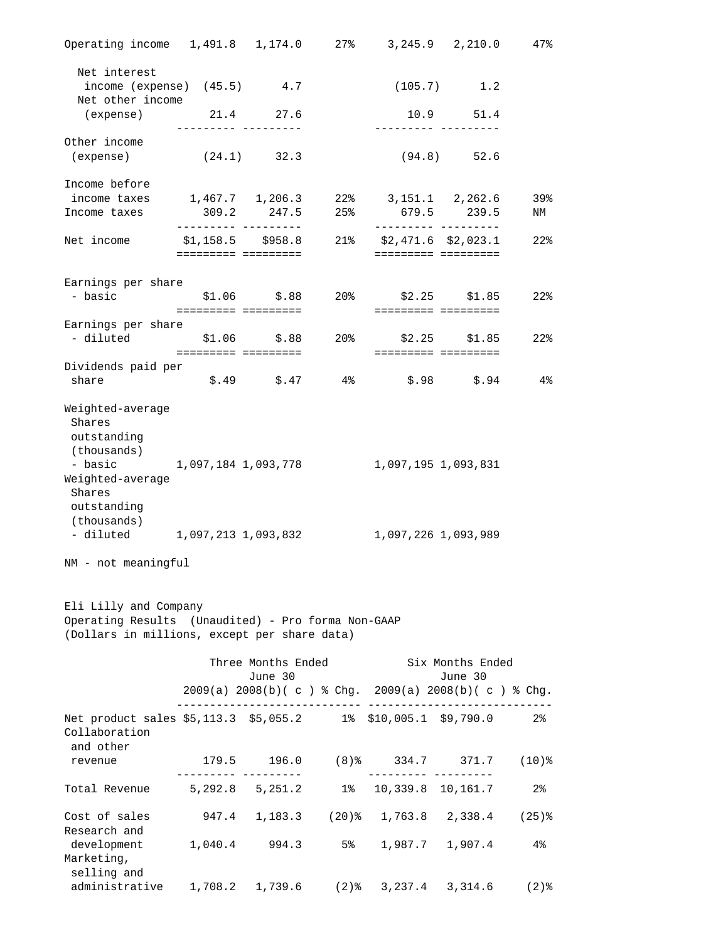| Operating income 1,491.8  1,174.0  27%  3,245.9  2,210.0                                                                                           |                                       |                               |                                                                                                                                                                                                                                     |                                                     |                                       | 47%               |
|----------------------------------------------------------------------------------------------------------------------------------------------------|---------------------------------------|-------------------------------|-------------------------------------------------------------------------------------------------------------------------------------------------------------------------------------------------------------------------------------|-----------------------------------------------------|---------------------------------------|-------------------|
| Net interest                                                                                                                                       |                                       |                               |                                                                                                                                                                                                                                     |                                                     |                                       |                   |
| $income$ (expense) $(45.5)$ $4.7$<br>Net other income                                                                                              |                                       |                               |                                                                                                                                                                                                                                     |                                                     | $(105.7)$ 1.2                         |                   |
| (expense)                                                                                                                                          | 21.4 27.6                             | ____ __________               |                                                                                                                                                                                                                                     |                                                     | 10.9 51.4                             |                   |
| Other income                                                                                                                                       |                                       |                               |                                                                                                                                                                                                                                     |                                                     | . _ _ _ _ _ _ _ _ _ _ _ _ _ _ _ _ _ _ |                   |
| $(expense)$ $(24.1)$ $32.3$                                                                                                                        |                                       |                               |                                                                                                                                                                                                                                     |                                                     | $(94.8)$ 52.6                         |                   |
| Income before                                                                                                                                      |                                       |                               |                                                                                                                                                                                                                                     |                                                     |                                       |                   |
| income taxes                                                                                                                                       |                                       | 309.2 247.5                   |                                                                                                                                                                                                                                     | $1,467.7$ $1,206.3$ $22\%$ $3,151.1$ $2,262.6$      | 679.5 239.5                           | 39%               |
| Income taxes                                                                                                                                       | . _ _ _ _ _ _ _ _ _ _ _ _ _ _ _ _ _ _ |                               | 25%                                                                                                                                                                                                                                 |                                                     | . _ _ _ _ _ _ _ _ _ _ _ _ _ _ _ _ _   | NM                |
| Net income                                                                                                                                         | \$1,158.5 \$958.8                     |                               |                                                                                                                                                                                                                                     | 21% \$2,471.6 \$2,023.1                             |                                       | $22$ °            |
|                                                                                                                                                    | docododos docododos.                  |                               |                                                                                                                                                                                                                                     |                                                     | ========= =========                   |                   |
| Earnings per share                                                                                                                                 |                                       |                               |                                                                                                                                                                                                                                     |                                                     |                                       |                   |
| - basic                                                                                                                                            | ========== =========                  | $$1.06$ $$.88$                |                                                                                                                                                                                                                                     | 20% \$2.25 \$1.85                                   |                                       | 22 <sub>8</sub>   |
| Earnings per share                                                                                                                                 |                                       |                               |                                                                                                                                                                                                                                     |                                                     |                                       |                   |
| - diluted                                                                                                                                          |                                       |                               |                                                                                                                                                                                                                                     | $$1.06$ $$.88$ $20\%$ $$2.25$ $$1.85$               |                                       | $22$ %            |
|                                                                                                                                                    |                                       |                               |                                                                                                                                                                                                                                     | =====================                               |                                       |                   |
| Dividends paid per<br>share                                                                                                                        |                                       |                               |                                                                                                                                                                                                                                     | $$.49$ $$.47$ $4\%$ $$.98$ $$.94$                   |                                       | $4\,$             |
|                                                                                                                                                    |                                       |                               |                                                                                                                                                                                                                                     |                                                     |                                       |                   |
| Weighted-average<br>Shares<br>outstanding<br>(thousands)                                                                                           |                                       |                               |                                                                                                                                                                                                                                     |                                                     |                                       |                   |
| - basic 1,097,184 1,093,778<br>Weighted-average<br>Shares<br>outstanding                                                                           |                                       |                               |                                                                                                                                                                                                                                     | 1,097,195 1,093,831                                 |                                       |                   |
| (thousands)<br>- diluted 1,097,213 1,093,832                                                                                                       |                                       |                               |                                                                                                                                                                                                                                     |                                                     | 1,097,226 1,093,989                   |                   |
| NM - not meaningful<br>Eli Lilly and Company<br>Operating Results (Unaudited) - Pro forma Non-GAAP<br>(Dollars in millions, except per share data) |                                       |                               |                                                                                                                                                                                                                                     |                                                     |                                       |                   |
|                                                                                                                                                    |                                       |                               |                                                                                                                                                                                                                                     |                                                     |                                       |                   |
|                                                                                                                                                    |                                       | Three Months Ended<br>June 30 |                                                                                                                                                                                                                                     |                                                     | Six Months Ended<br>June 30           |                   |
|                                                                                                                                                    |                                       |                               |                                                                                                                                                                                                                                     | 2009(a) 2008(b)(c) % Chg. 2009(a) 2008(b)(c) % Chg. |                                       |                   |
| Net product sales \$5,113.3 \$5,055.2 1% \$10,005.1 \$9,790.0<br>Collaboration<br>and other                                                        |                                       |                               |                                                                                                                                                                                                                                     |                                                     |                                       | $2\,$             |
| revenue                                                                                                                                            |                                       |                               |                                                                                                                                                                                                                                     | 179.5 196.0 (8)% 334.7 371.7 (10)%                  |                                       |                   |
| Total Revenue 5, 292.8 5, 251.2 1% 10, 339.8 10, 161.7                                                                                             |                                       |                               |                                                                                                                                                                                                                                     |                                                     |                                       | $2\,$             |
| Cost of sales                                                                                                                                      |                                       |                               |                                                                                                                                                                                                                                     | 947.4 1,183.3 (20)% 1,763.8 2,338.4                 |                                       | $(25)$ $\epsilon$ |
| Research and                                                                                                                                       |                                       |                               |                                                                                                                                                                                                                                     |                                                     |                                       |                   |
| development<br>Marketing,                                                                                                                          |                                       | 1,040.4 994.3                 | 5% and the set of the set of the set of the set of the set of the set of the set of the set of the set of the<br>Set of the set of the set of the set of the set of the set of the set of the set of the set of the set of the<br>S |                                                     | 1,987.7 1,907.4                       | 4%                |
| selling and<br>administrative                                                                                                                      |                                       | 1,708.2 1,739.6               | ( 2 ) 응                                                                                                                                                                                                                             |                                                     | $3,237.4$ $3,314.6$                   | $(2)$ $\delta$    |
|                                                                                                                                                    |                                       |                               |                                                                                                                                                                                                                                     |                                                     |                                       |                   |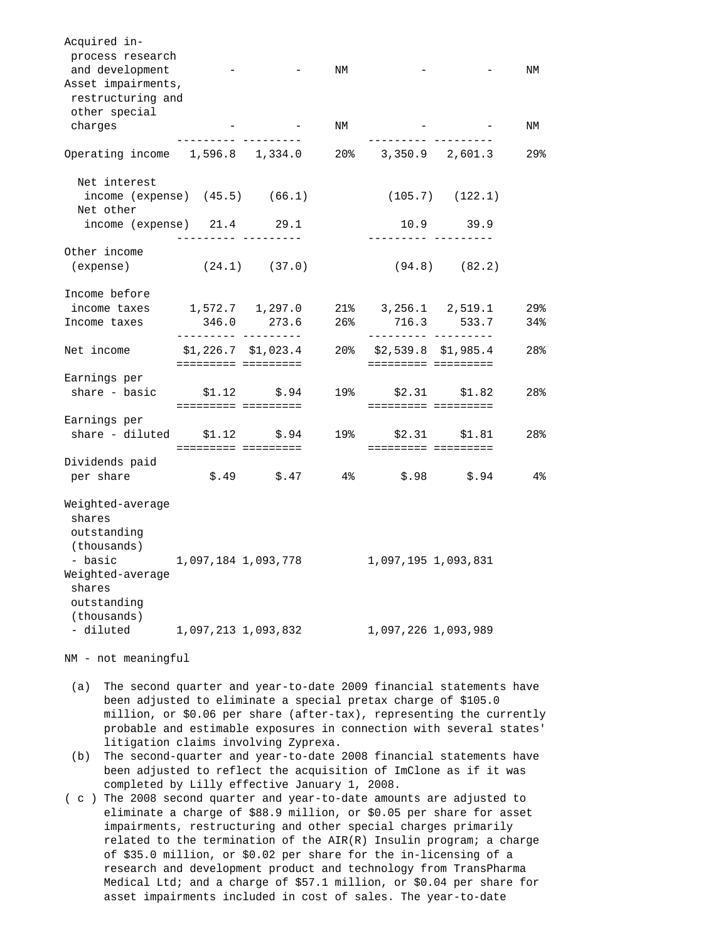| Acquired in-<br>process research<br>and development<br>Asset impairments,<br>restructuring and<br>other special |                                             |                          | NM    |                                                                |                     | NM                     |
|-----------------------------------------------------------------------------------------------------------------|---------------------------------------------|--------------------------|-------|----------------------------------------------------------------|---------------------|------------------------|
| charges                                                                                                         |                                             |                          | ΝM    |                                                                |                     | ΝM                     |
| Operating income 1,596.8 1,334.0                                                                                |                                             |                          |       | 20% 3,350.9 2,601.3                                            |                     | 29%                    |
| Net interest<br>income (expense) $(45.5)$ $(66.1)$<br>Net other                                                 |                                             |                          |       |                                                                | $(105.7)$ $(122.1)$ |                        |
| $income (expense)$ $21.4$ $29.1$                                                                                |                                             |                          |       |                                                                | 10.9 39.9           |                        |
| Other income<br>(expense)                                                                                       |                                             | $(24.1)$ $(37.0)$        |       | (94.8)                                                         | (82.2)              |                        |
| Income before                                                                                                   |                                             |                          |       |                                                                |                     |                        |
| income taxes<br>Income taxes                                                                                    | 346.0                                       | 1,572.7 1,297.0<br>273.6 | 26%   | $21\%$ 3, 256.1 2, 519.1<br>716.3                              | 533.7               | 29 <sub>8</sub><br>34% |
| Net income                                                                                                      | __________ _________<br>\$1,226.7 \$1,023.4 |                          | 20%   | . _ _ _ _ _ _ _ _ _ _ _ _ _ _ _ _ _ _<br>$$2,539.8$ $$1,985.4$ |                     | 28%                    |
| Earnings per<br>share - basic                                                                                   | ========= =========                         | $$1.12$ $$.94$           | 19%   | ========= =========<br>========= =========                     | $$2.31$ $$1.82$     | 28%                    |
| Earnings per<br>share - diluted                                                                                 | ========= =========                         | $$1.12$ $$.94$           | 19%   | \$2.31                                                         | \$1.81              | 28%                    |
| Dividends paid<br>per share                                                                                     |                                             | $$.49$ $$.47$            | $4\,$ | \$.98                                                          | \$.94               | 4%                     |
| Weighted-average<br>shares<br>outstanding<br>(thousands)<br>- basic<br>Weighted-average<br>shares               | 1,097,184 1,093,778                         |                          |       | 1,097,195 1,093,831                                            |                     |                        |
| outstanding<br>(thousands)<br>- diluted                                                                         | 1,097,213 1,093,832                         |                          |       | 1,097,226 1,093,989                                            |                     |                        |

NM - not meaningful

- (a) The second quarter and year-to-date 2009 financial statements have been adjusted to eliminate a special pretax charge of \$105.0 million, or \$0.06 per share (after-tax), representing the currently probable and estimable exposures in connection with several states' litigation claims involving Zyprexa.
- (b) The second-quarter and year-to-date 2008 financial statements have been adjusted to reflect the acquisition of ImClone as if it was completed by Lilly effective January 1, 2008.
- ( c ) The 2008 second quarter and year-to-date amounts are adjusted to eliminate a charge of \$88.9 million, or \$0.05 per share for asset impairments, restructuring and other special charges primarily related to the termination of the  $AIR(R)$  Insulin program; a charge of \$35.0 million, or \$0.02 per share for the in-licensing of a research and development product and technology from TransPharma Medical Ltd; and a charge of \$57.1 million, or \$0.04 per share for asset impairments included in cost of sales. The year-to-date